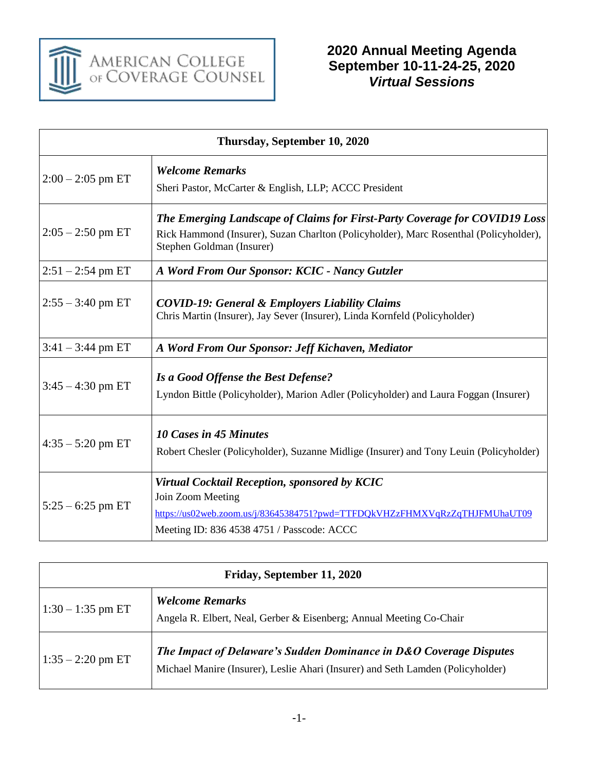

| Thursday, September 10, 2020 |                                                                                                                                                                                                  |  |
|------------------------------|--------------------------------------------------------------------------------------------------------------------------------------------------------------------------------------------------|--|
| $2:00 - 2:05$ pm ET          | <b>Welcome Remarks</b><br>Sheri Pastor, McCarter & English, LLP; ACCC President                                                                                                                  |  |
| $2:05 - 2:50$ pm ET          | The Emerging Landscape of Claims for First-Party Coverage for COVID19 Loss<br>Rick Hammond (Insurer), Suzan Charlton (Policyholder), Marc Rosenthal (Policyholder),<br>Stephen Goldman (Insurer) |  |
| $2:51 - 2:54$ pm ET          | A Word From Our Sponsor: KCIC - Nancy Gutzler                                                                                                                                                    |  |
| $2:55 - 3:40$ pm ET          | <b>COVID-19: General &amp; Employers Liability Claims</b><br>Chris Martin (Insurer), Jay Sever (Insurer), Linda Kornfeld (Policyholder)                                                          |  |
| $3:41 - 3:44$ pm ET          | A Word From Our Sponsor: Jeff Kichaven, Mediator                                                                                                                                                 |  |
| $3:45 - 4:30$ pm ET          | Is a Good Offense the Best Defense?<br>Lyndon Bittle (Policyholder), Marion Adler (Policyholder) and Laura Foggan (Insurer)                                                                      |  |
| $4:35 - 5:20$ pm ET          | <b>10 Cases in 45 Minutes</b><br>Robert Chesler (Policyholder), Suzanne Midlige (Insurer) and Tony Leuin (Policyholder)                                                                          |  |
| $5:25 - 6:25$ pm ET          | Virtual Cocktail Reception, sponsored by KCIC<br>Join Zoom Meeting<br>https://us02web.zoom.us/j/83645384751?pwd=TTFDQkVHZzFHMXVqRzZqTHJFMUhaUT09<br>Meeting ID: 836 4538 4751 / Passcode: ACCC   |  |

| Friday, September 11, 2020 |                                                                                                                                                       |  |
|----------------------------|-------------------------------------------------------------------------------------------------------------------------------------------------------|--|
| $1:30 - 1:35$ pm ET        | <b>Welcome Remarks</b><br>Angela R. Elbert, Neal, Gerber & Eisenberg; Annual Meeting Co-Chair                                                         |  |
| $1:35 - 2:20$ pm ET        | The Impact of Delaware's Sudden Dominance in D&O Coverage Disputes<br>Michael Manire (Insurer), Leslie Ahari (Insurer) and Seth Lamden (Policyholder) |  |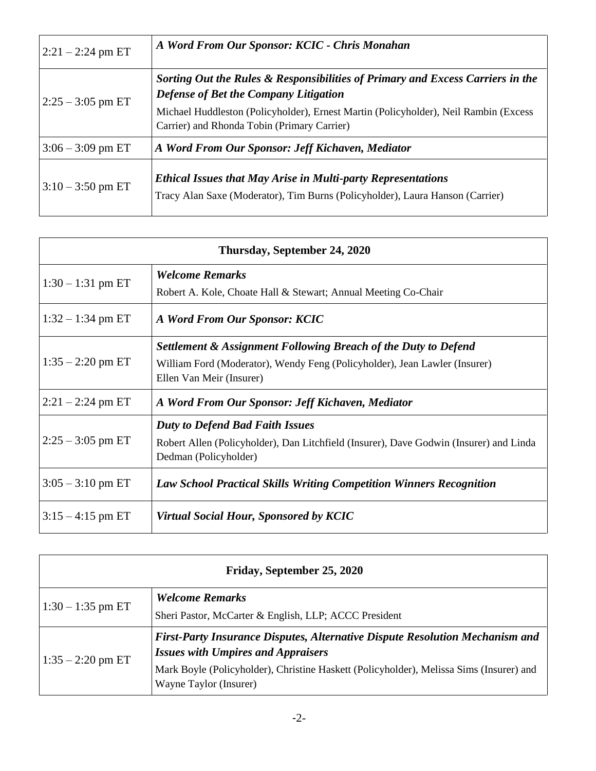| $ 2:21 - 2:24$ pm ET | A Word From Our Sponsor: KCIC - Chris Monahan                                                                                                        |
|----------------------|------------------------------------------------------------------------------------------------------------------------------------------------------|
| $2:25 - 3:05$ pm ET  | Sorting Out the Rules & Responsibilities of Primary and Excess Carriers in the<br>Defense of Bet the Company Litigation                              |
|                      | Michael Huddleston (Policyholder), Ernest Martin (Policyholder), Neil Rambin (Excess<br>Carrier) and Rhonda Tobin (Primary Carrier)                  |
| $3:06 - 3:09$ pm ET  | A Word From Our Sponsor: Jeff Kichaven, Mediator                                                                                                     |
| $3:10-3:50$ pm ET    | <b>Ethical Issues that May Arise in Multi-party Representations</b><br>Tracy Alan Saxe (Moderator), Tim Burns (Policyholder), Laura Hanson (Carrier) |

| Thursday, September 24, 2020 |                                                                                                                 |  |
|------------------------------|-----------------------------------------------------------------------------------------------------------------|--|
| $1:30 - 1:31$ pm ET          | <b>Welcome Remarks</b>                                                                                          |  |
|                              | Robert A. Kole, Choate Hall & Stewart; Annual Meeting Co-Chair                                                  |  |
| $1:32 - 1:34$ pm ET          | A Word From Our Sponsor: KCIC                                                                                   |  |
|                              | <b>Settlement &amp; Assignment Following Breach of the Duty to Defend</b>                                       |  |
| $1:35 - 2:20$ pm ET          | William Ford (Moderator), Wendy Feng (Policyholder), Jean Lawler (Insurer)                                      |  |
|                              | Ellen Van Meir (Insurer)                                                                                        |  |
| $ 2:21 - 2:24$ pm ET         | A Word From Our Sponsor: Jeff Kichaven, Mediator                                                                |  |
| $2:25 - 3:05$ pm ET          | <b>Duty to Defend Bad Faith Issues</b>                                                                          |  |
|                              | Robert Allen (Policyholder), Dan Litchfield (Insurer), Dave Godwin (Insurer) and Linda<br>Dedman (Policyholder) |  |
| $3:05 - 3:10$ pm ET          | <b>Law School Practical Skills Writing Competition Winners Recognition</b>                                      |  |
| $3:15 - 4:15$ pm ET          | Virtual Social Hour, Sponsored by KCIC                                                                          |  |

| Friday, September 25, 2020 |                                                                                                                                                                                                                                                       |
|----------------------------|-------------------------------------------------------------------------------------------------------------------------------------------------------------------------------------------------------------------------------------------------------|
| $1:30 - 1:35$ pm ET        | <b>Welcome Remarks</b>                                                                                                                                                                                                                                |
|                            | Sheri Pastor, McCarter & English, LLP; ACCC President                                                                                                                                                                                                 |
| $1:35 - 2:20$ pm ET        | <b>First-Party Insurance Disputes, Alternative Dispute Resolution Mechanism and</b><br><b>Issues with Umpires and Appraisers</b><br>Mark Boyle (Policyholder), Christine Haskett (Policyholder), Melissa Sims (Insurer) and<br>Wayne Taylor (Insurer) |